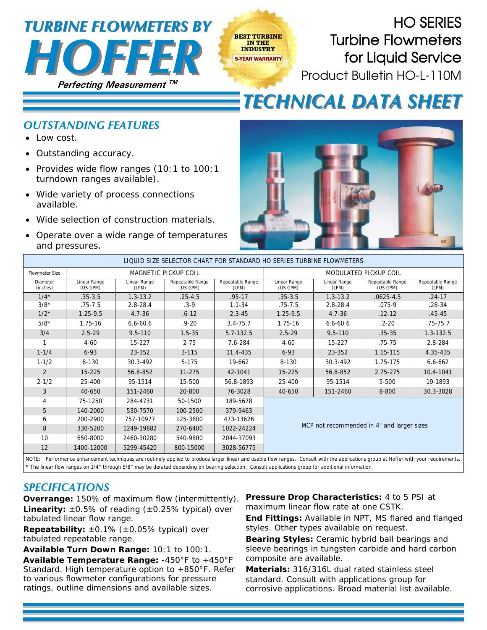## **Perfecting Measurement**  *HOFFER TURBINE FLOWMETERS BY TURBINE FLOWMETERS BY*



*TECHNICAL DATA SHEET TECHNICAL DATA SHEET*

## *OUTSTANDING FEATURES*

- Low cost.
- Outstanding accuracy.
- Provides wide flow ranges (10:1 to 100:1 turndown ranges available).
- Wide variety of process connections available.
- Wide selection of construction materials.
- Operate over a wide range of temperatures and pressures.



| LIQUID SIZE SELECTOR CHART FOR STANDARD HO SERIES TURBINE FLOWMETERS                                                                                                             |                             |                       |                              |                           |                                            |                       |                              |                           |  |
|----------------------------------------------------------------------------------------------------------------------------------------------------------------------------------|-----------------------------|-----------------------|------------------------------|---------------------------|--------------------------------------------|-----------------------|------------------------------|---------------------------|--|
| <b>Flowmeter Size</b>                                                                                                                                                            | <b>MAGNETIC PICKUP COIL</b> |                       |                              |                           | MODULATED PICKUP COIL                      |                       |                              |                           |  |
| Diameter<br>(inches)                                                                                                                                                             | Linear Range<br>(US GPM)    | Linear Range<br>(LPM) | Repeatable Range<br>(US GPM) | Repeatable Range<br>(LPM) | Linear Range<br>(US GPM)                   | Linear Range<br>(LPM) | Repeatable Range<br>(US GPM) | Repeatable Range<br>(LPM) |  |
| $1/4*$                                                                                                                                                                           | $.35 - 3.5$                 | $1.3 - 13.2$          | $.25 - 4.5$                  | $.95 - 17$                | $.35 - 3.5$                                | $1.3 - 13.2$          | $.0625 - 4.5$                | $.24 - 17$                |  |
| $3/8*$                                                                                                                                                                           | $.75 - 7.5$                 | $2.8 - 28.4$          | $.3 - 9$                     | $1.1 - 34$                | $.75 - 7.5$                                | $2.8 - 28.4$          | $.075 - 9$                   | $.28 - 34$                |  |
| $1/2*$                                                                                                                                                                           | $1.25 - 9.5$                | $4.7 - 36$            | $.6 - 12$                    | $2.3 - 45$                | $1.25 - 9.5$                               | $4.7 - 36$            | $.12 - 12$                   | $.45 - 45$                |  |
| $5/8*$                                                                                                                                                                           | $1.75 - 16$                 | $6.6 - 60.6$          | $.9 - 20$                    | $3.4 - 75.7$              | 1.75-16                                    | $6.6 - 60.6$          | $.2 - 20$                    | $.75 - 75.7$              |  |
| 3/4                                                                                                                                                                              | $2.5 - 29$                  | $9.5 - 110$           | $1.5 - 35$                   | 5.7-132.5                 | $2.5 - 29$                                 | $9.5 - 110$           | $.35 - 35$                   | 1.3-132.5                 |  |
|                                                                                                                                                                                  | $4 - 60$                    | 15-227                | $2 - 75$                     | 7.6-284                   | $4 - 60$                                   | 15-227                | $.75 - 75$                   | 2.8-284                   |  |
| $1 - 1/4$                                                                                                                                                                        | $6 - 93$                    | 23-352                | $3 - 115$                    | 11.4-435                  | $6 - 93$                                   | 23-352                | 1.15-115                     | 4.35-435                  |  |
| $1 - 1/2$                                                                                                                                                                        | 8-130                       | 30.3-492              | $5 - 175$                    | 19-662                    | 8-130                                      | 30.3-492              | 1.75-175                     | $6.6 - 662$               |  |
| 2                                                                                                                                                                                | 15-225                      | 56.8-852              | 11-275                       | 42-1041                   | 15-225                                     | 56.8-852              | 2.75-275                     | 10.4-1041                 |  |
| $2 - 1/2$                                                                                                                                                                        | 25-400                      | 95-1514               | 15-500                       | 56.8-1893                 | 25-400                                     | 95-1514               | 5-500                        | 19-1893                   |  |
| 3                                                                                                                                                                                | 40-650                      | 151-2460              | 20-800                       | 76-3028                   | 40-650                                     | 151-2460              | 8-800                        | 30.3-3028                 |  |
| 4                                                                                                                                                                                | 75-1250                     | 284-4731              | 50-1500                      | 189-5678                  | MCP not recommended in 4" and larger sizes |                       |                              |                           |  |
| 5                                                                                                                                                                                | 140-2000                    | 530-7570              | 100-2500                     | 379-9463                  |                                            |                       |                              |                           |  |
| 6                                                                                                                                                                                | 200-2900                    | 757-10977             | 125-3600                     | 473-13626                 |                                            |                       |                              |                           |  |
| 8                                                                                                                                                                                | 330-5200                    | 1249-19682            | 270-6400                     | 1022-24224                |                                            |                       |                              |                           |  |
| 10                                                                                                                                                                               | 650-8000                    | 2460-30280            | 540-9800                     | 2044-37093                |                                            |                       |                              |                           |  |
| 12                                                                                                                                                                               | 1400-12000                  | 5299-45420            | 800-15000                    | 3028-56775                |                                            |                       |                              |                           |  |
| NOTE. Defermence enhancement techniques are routinely anniked to produce lerger linear and useble flow renges. Concult with the englishme group at Hoffer with your requirements |                             |                       |                              |                           |                                            |                       |                              |                           |  |

**BEST TURBINE IN THE INDUSTRY** 5-YEAR WARRANTY

NOTE: Performance enhancement techniques are routinely applied to produce larger linear and usable flow ranges. Consult with the applications group at Hoffer with your requirements. \* The linear flow ranges on 1/4" through 5/8" may be derated depending on bearing selection. Consult applications group for additional information.

## *SPECIFICATIONS*

**Overrange:** 150% of maximum flow (intermittently). **Linearity:**  $\pm 0.5\%$  of reading  $(\pm 0.25\%$  typical) over tabulated linear flow range.

**Repeatability:** ±0.1% (±0.05% typical) over tabulated repeatable range.

**Available Turn Down Range:** 10:1 to 100:1.

**Available Temperature Range:** -450°F to +450°F Standard. High temperature option to +850°F. Refer to various flowmeter configurations for pressure ratings, outline dimensions and available sizes.

**Pressure Drop Characteristics:** 4 to 5 PSI at maximum linear flow rate at one CSTK.

**End Fittings:** Available in NPT, MS flared and flanged styles. Other types available on request.

**Bearing Styles:** Ceramic hybrid ball bearings and sleeve bearings in tungsten carbide and hard carbon composite are available.

**Materials:** 316/316L dual rated stainless steel standard. Consult with applications group for corrosive applications. Broad material list available.